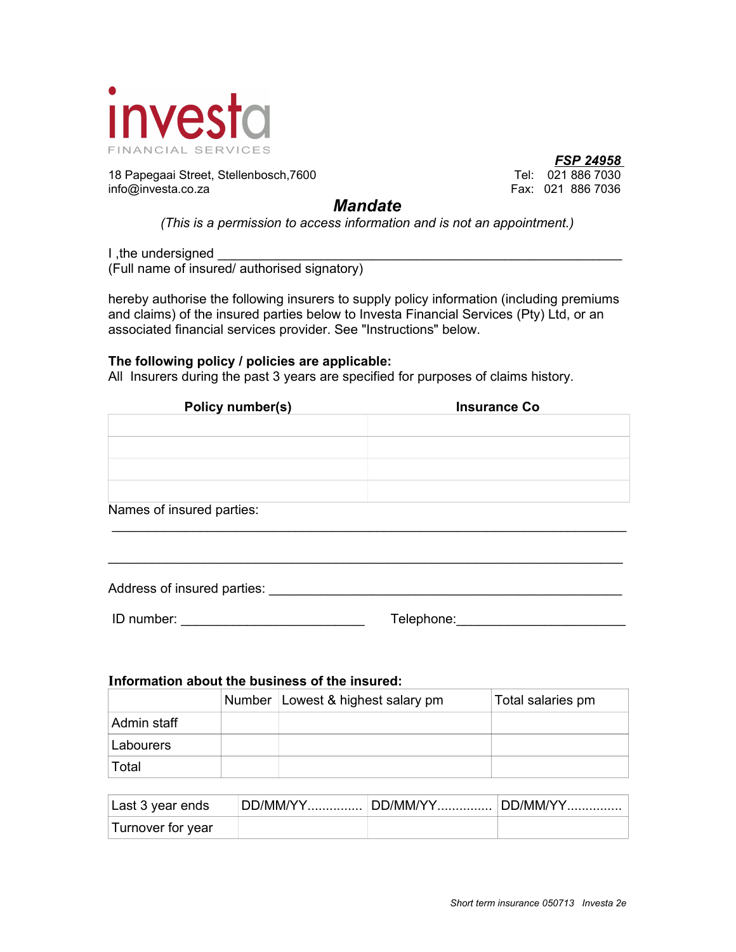

18 Papegaai Street, Stellenbosch,7600<br>
info@investa.co.za<br>
Fax: 021 886 7036 info@investa.co.za

*<u>FSP 24958</u>*<br> *<u>FSP 24958</u>* 

## *Mandate*

*(This is a permission to access information and is not an appointment.)*

I , the undersigned (Full name of insured/ authorised signatory)

hereby authorise the following insurers to supply policy information (including premiums and claims) of the insured parties below to Investa Financial Services (Pty) Ltd, or an associated financial services provider. See "Instructions" below.

## **The following policy / policies are applicable:**

All Insurers during the past 3 years are specified for purposes of claims history.

| Policy number(s)          | <b>Insurance Co</b> |  |  |
|---------------------------|---------------------|--|--|
|                           |                     |  |  |
|                           |                     |  |  |
|                           |                     |  |  |
|                           |                     |  |  |
| Names of insured parties: |                     |  |  |

\_\_\_\_\_\_\_\_\_\_\_\_\_\_\_\_\_\_\_\_\_\_\_\_\_\_\_\_\_\_\_\_\_\_\_\_\_\_\_\_\_\_\_\_\_\_\_\_\_\_\_\_\_\_\_\_\_\_\_\_\_\_\_\_\_\_\_\_\_\_

|  |  | Address of insured parties: |  |
|--|--|-----------------------------|--|
|--|--|-----------------------------|--|

ID number: \_\_\_\_\_\_\_\_\_\_\_\_\_\_\_\_\_\_\_\_\_\_\_\_\_ Telephone:\_\_\_\_\_\_\_\_\_\_\_\_\_\_\_\_\_\_\_\_\_\_\_

## **Information about the business of the insured:**

|             | Number   Lowest & highest salary pm | Total salaries pm |
|-------------|-------------------------------------|-------------------|
| Admin staff |                                     |                   |
| Labourers   |                                     |                   |
| Total       |                                     |                   |

| Last 3 year ends  |  | DD/MM/YY DD/MM/YY DD/MM/YY |
|-------------------|--|----------------------------|
| Turnover for year |  |                            |